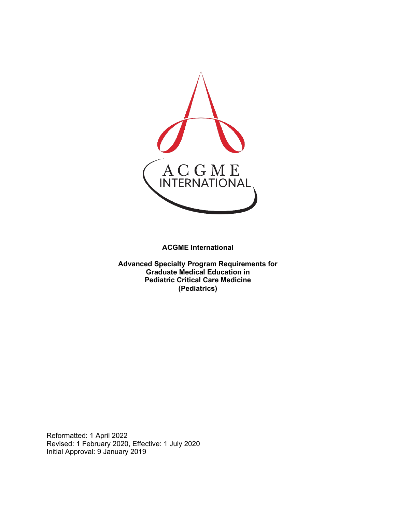

**ACGME International** 

**Advanced Specialty Program Requirements for Graduate Medical Education in Pediatric Critical Care Medicine (Pediatrics)**

Reformatted: 1 April 2022 Revised: 1 February 2020, Effective: 1 July 2020 Initial Approval: 9 January 2019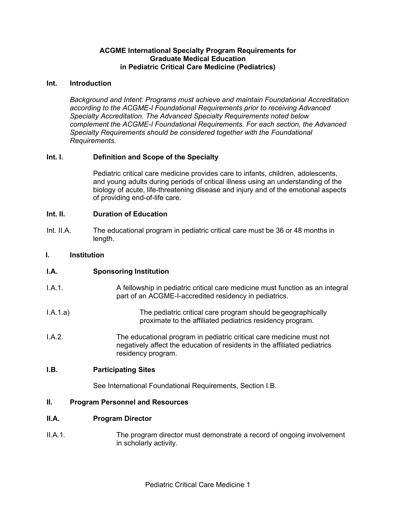## **ACGME International Specialty Program Requirements for Graduate Medical Education in Pediatric Critical Care Medicine (Pediatrics)**

## **Int. Introduction**

*Background and Intent: Programs must achieve and maintain Foundational Accreditation according to the ACGME-I Foundational Requirements prior to receiving Advanced Specialty Accreditation. The Advanced Specialty Requirements noted below complement the ACGME-I Foundational Requirements. For each section, the Advanced Specialty Requirements should be considered together with the Foundational Requirements.*

# **Int. I. Definition and Scope of the Specialty**

Pediatric critical care medicine provides care to infants, children, adolescents, and young adults during periods of critical illness using an understanding of the biology of acute, life-threatening disease and injury and of the emotional aspects of providing end-of-life care.

## **Int. II. Duration of Education**

Int. II.A. The educational program in pediatric critical care must be 36 or 48 months in length.

## **I. Institution**

# **I.A. Sponsoring Institution**

- I.A.1. A fellowship in pediatric critical care medicine must function as an integral part of an ACGME-I-accredited residency in pediatrics.
- I.A.1.a) The pediatric critical care program should begeographically proximate to the affiliated pediatrics residency program.
- I.A.2. The educational program in pediatric critical care medicine must not negatively affect the education of residents in the affiliated pediatrics residency program.

#### **I.B. Participating Sites**

See International Foundational Requirements, Section I.B.

## **II. Program Personnel and Resources**

#### **II.A. Program Director**

II.A.1. The program director must demonstrate a record of ongoing involvement in scholarly activity.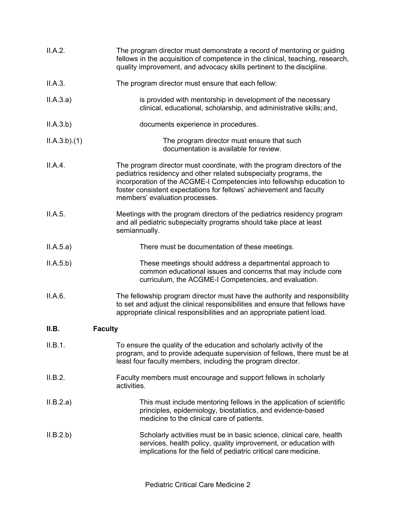| II.A.2.                 | The program director must demonstrate a record of mentoring or guiding<br>fellows in the acquisition of competence in the clinical, teaching, research,<br>quality improvement, and advocacy skills pertinent to the discipline.                                                                                                |
|-------------------------|---------------------------------------------------------------------------------------------------------------------------------------------------------------------------------------------------------------------------------------------------------------------------------------------------------------------------------|
| II.A.3.                 | The program director must ensure that each fellow:                                                                                                                                                                                                                                                                              |
| II.A.3.a)               | is provided with mentorship in development of the necessary<br>clinical, educational, scholarship, and administrative skills; and,                                                                                                                                                                                              |
| II.A.3.b)               | documents experience in procedures.                                                                                                                                                                                                                                                                                             |
| ILA.3.b)(1)             | The program director must ensure that such<br>documentation is available for review.                                                                                                                                                                                                                                            |
| II.A.4.                 | The program director must coordinate, with the program directors of the<br>pediatrics residency and other related subspecialty programs, the<br>incorporation of the ACGME-I Competencies into fellowship education to<br>foster consistent expectations for fellows' achievement and faculty<br>members' evaluation processes. |
| II.A.5.                 | Meetings with the program directors of the pediatrics residency program<br>and all pediatric subspecialty programs should take place at least<br>semiannually.                                                                                                                                                                  |
| II.A.5.a)               | There must be documentation of these meetings.                                                                                                                                                                                                                                                                                  |
| II.A.5.b)               | These meetings should address a departmental approach to<br>common educational issues and concerns that may include core<br>curriculum, the ACGME-I Competencies, and evaluation.                                                                                                                                               |
| II.A.6.                 | The fellowship program director must have the authority and responsibility<br>to set and adjust the clinical responsibilities and ensure that fellows have<br>appropriate clinical responsibilities and an appropriate patient load.                                                                                            |
| II.B.<br><b>Faculty</b> |                                                                                                                                                                                                                                                                                                                                 |
| II.B.1.                 | To ensure the quality of the education and scholarly activity of the<br>program, and to provide adequate supervision of fellows, there must be at<br>least four faculty members, including the program director.                                                                                                                |
| II.B.2.                 | Faculty members must encourage and support fellows in scholarly<br>activities.                                                                                                                                                                                                                                                  |
| II.B.2.a)               | This must include mentoring fellows in the application of scientific<br>principles, epidemiology, biostatistics, and evidence-based<br>medicine to the clinical care of patients.                                                                                                                                               |
| II.B.2.b)               | Scholarly activities must be in basic science, clinical care, health<br>services, health policy, quality improvement, or education with<br>implications for the field of pediatric critical care medicine.                                                                                                                      |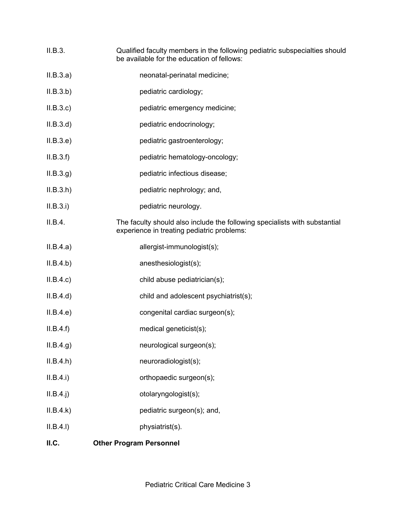- II.B.3. Qualified faculty members in the following pediatric subspecialties should be available for the education of fellows:
- II.B.3.a) neonatal-perinatal medicine;
- II.B.3.b) pediatric cardiology;
- II.B.3.c) pediatric emergency medicine;
- II.B.3.d) pediatric endocrinology;
- II.B.3.e) pediatric gastroenterology;
- II.B.3.f) pediatric hematology-oncology;
- II.B.3.g) pediatric infectious disease;
- II.B.3.h) pediatric nephrology; and,
- II.B.3.i) pediatric neurology.
- II.B.4. The faculty should also include the following specialists with substantial experience in treating pediatric problems:
- II.B.4.a) allergist-immunologist(s);
- II.B.4.b) anesthesiologist(s);
- II.B.4.c) child abuse pediatrician(s);
- II.B.4.d) child and adolescent psychiatrist(s);
- II.B.4.e) congenital cardiac surgeon(s);
- II.B.4.f) medical geneticist(s);
- II.B.4.g) neurological surgeon(s);
- II.B.4.h) neuroradiologist(s);
- II.B.4.i) orthopaedic surgeon(s);
- II.B.4.j) otolaryngologist(s);
- II.B.4.k) pediatric surgeon(s); and,
- II.B.4.l) physiatrist(s).

# **II.C. Other Program Personnel**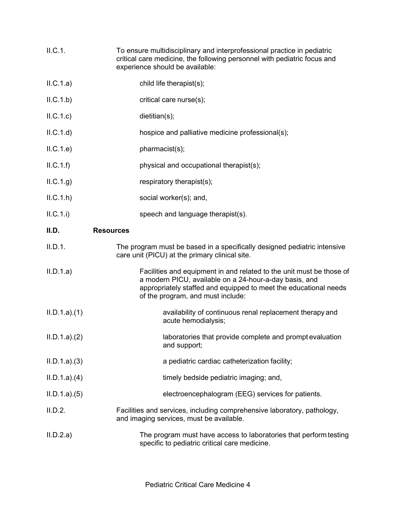| II.C.1. | To ensure multidisciplinary and interprofessional practice in pediatric  |
|---------|--------------------------------------------------------------------------|
|         | critical care medicine, the following personnel with pediatric focus and |
|         | experience should be available:                                          |

| ILC.1.a)    | child life therapist(s);                                                                                                                                                                                                                |
|-------------|-----------------------------------------------------------------------------------------------------------------------------------------------------------------------------------------------------------------------------------------|
| ILC.1.b)    | critical care nurse(s);                                                                                                                                                                                                                 |
| ILC.1.c)    | dietitian(s);                                                                                                                                                                                                                           |
| ILC.1.d)    | hospice and palliative medicine professional(s);                                                                                                                                                                                        |
| ILC.1.e)    | pharmacist(s);                                                                                                                                                                                                                          |
| ILC.1.f)    | physical and occupational therapist(s);                                                                                                                                                                                                 |
| ILC.1.g)    | respiratory therapist(s);                                                                                                                                                                                                               |
| ILC.1.h     | social worker(s); and,                                                                                                                                                                                                                  |
| ILC.1.i)    | speech and language therapist(s).                                                                                                                                                                                                       |
| II.D.       | <b>Resources</b>                                                                                                                                                                                                                        |
| II.D.1.     | The program must be based in a specifically designed pediatric intensive<br>care unit (PICU) at the primary clinical site.                                                                                                              |
| II.D.1.a)   | Facilities and equipment in and related to the unit must be those of<br>a modern PICU, available on a 24-hour-a-day basis, and<br>appropriately staffed and equipped to meet the educational needs<br>of the program, and must include: |
| ILD.1.a)(1) | availability of continuous renal replacement therapy and<br>acute hemodialysis;                                                                                                                                                         |
| ILD.1.a)(2) | laboratories that provide complete and prompt evaluation<br>and support;                                                                                                                                                                |
| ILD.1.a)(3) | a pediatric cardiac catheterization facility;                                                                                                                                                                                           |
| ILD.1.a)(4) | timely bedside pediatric imaging; and,                                                                                                                                                                                                  |
| ILD.1.a)(5) | electroencephalogram (EEG) services for patients.                                                                                                                                                                                       |
| II.D.2.     | Facilities and services, including comprehensive laboratory, pathology,<br>and imaging services, must be available.                                                                                                                     |
| II.D.2.a)   | The program must have access to laboratories that perform testing<br>specific to pediatric critical care medicine.                                                                                                                      |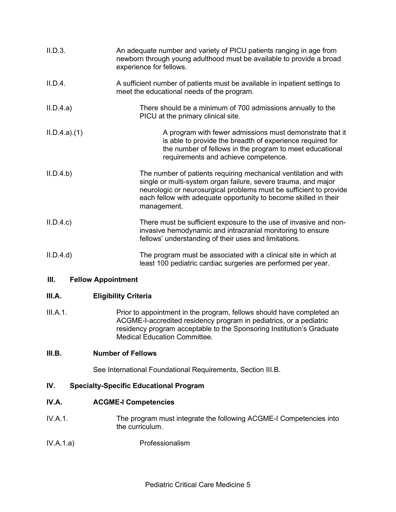| II.D.3.     | An adequate number and variety of PICU patients ranging in age from<br>newborn through young adulthood must be available to provide a broad<br>experience for fellows.                                                                                                                      |
|-------------|---------------------------------------------------------------------------------------------------------------------------------------------------------------------------------------------------------------------------------------------------------------------------------------------|
| II.D.4.     | A sufficient number of patients must be available in inpatient settings to<br>meet the educational needs of the program.                                                                                                                                                                    |
| II.D.4.a)   | There should be a minimum of 700 admissions annually to the<br>PICU at the primary clinical site.                                                                                                                                                                                           |
| ILD.4.a)(1) | A program with fewer admissions must demonstrate that it<br>is able to provide the breadth of experience required for<br>the number of fellows in the program to meet educational<br>requirements and achieve competence.                                                                   |
| II.D.4.b)   | The number of patients requiring mechanical ventilation and with<br>single or multi-system organ failure, severe trauma, and major<br>neurologic or neurosurgical problems must be sufficient to provide<br>each fellow with adequate opportunity to become skilled in their<br>management. |
| II.D.4.c    | There must be sufficient exposure to the use of invasive and non-<br>invasive hemodynamic and intracranial monitoring to ensure<br>fellows' understanding of their uses and limitations.                                                                                                    |
| II.D.4.d    | The program must be associated with a clinical site in which at<br>least 100 pediatric cardiac surgeries are performed per year.                                                                                                                                                            |

# **III. Fellow Appointment**

# **III.A. Eligibility Criteria**

III.A.1. Prior to appointment in the program, fellows should have completed an ACGME-I-accredited residency program in pediatrics, or a pediatric residency program acceptable to the Sponsoring Institution's Graduate Medical Education Committee.

# **III.B. Number of Fellows**

See International Foundational Requirements, Section III.B.

# **IV. Specialty-Specific Educational Program**

# **IV.A. ACGME-I Competencies**

- IV.A.1. The program must integrate the following ACGME-I Competencies into the curriculum.
- IV.A.1.a) Professionalism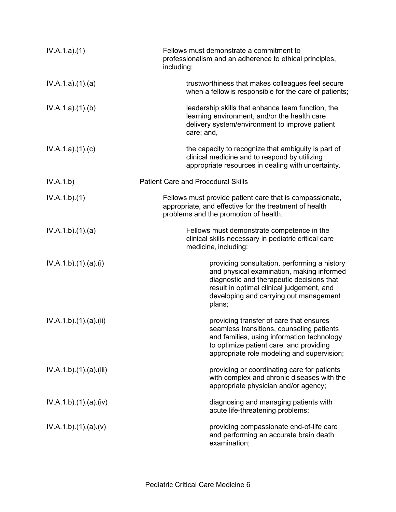| IV.A.1.a)(1)         | Fellows must demonstrate a commitment to<br>professionalism and an adherence to ethical principles,<br>including:                                                                                                                       |
|----------------------|-----------------------------------------------------------------------------------------------------------------------------------------------------------------------------------------------------------------------------------------|
| IV.A.1.a)(1)(a)      | trustworthiness that makes colleagues feel secure<br>when a fellow is responsible for the care of patients;                                                                                                                             |
| IV.A.1.a)(1)(b)      | leadership skills that enhance team function, the<br>learning environment, and/or the health care<br>delivery system/environment to improve patient<br>care; and,                                                                       |
| IV.A.1.a)(1)(c)      | the capacity to recognize that ambiguity is part of<br>clinical medicine and to respond by utilizing<br>appropriate resources in dealing with uncertainty.                                                                              |
| IV.A.1.b)            | <b>Patient Care and Procedural Skills</b>                                                                                                                                                                                               |
| IV.A.1.b)(1)         | Fellows must provide patient care that is compassionate,<br>appropriate, and effective for the treatment of health<br>problems and the promotion of health.                                                                             |
| IV.A.1.b)(1)(a)      | Fellows must demonstrate competence in the<br>clinical skills necessary in pediatric critical care<br>medicine, including:                                                                                                              |
| IV.A.1.b)(1).(a)(i)  | providing consultation, performing a history<br>and physical examination, making informed<br>diagnostic and therapeutic decisions that<br>result in optimal clinical judgement, and<br>developing and carrying out management<br>plans; |
| IV.A.1.b)(1)(a)(ii)  | providing transfer of care that ensures<br>seamless transitions, counseling patients<br>and families, using information technology<br>to optimize patient care, and providing<br>appropriate role modeling and supervision;             |
| IV.A.1.b)(1)(a)(iii) | providing or coordinating care for patients<br>with complex and chronic diseases with the<br>appropriate physician and/or agency;                                                                                                       |
| IV.A.1.b)(1)(a)(iv)  | diagnosing and managing patients with<br>acute life-threatening problems;                                                                                                                                                               |
| IV.A.1.b)(1)(a)(v)   | providing compassionate end-of-life care<br>and performing an accurate brain death<br>examination;                                                                                                                                      |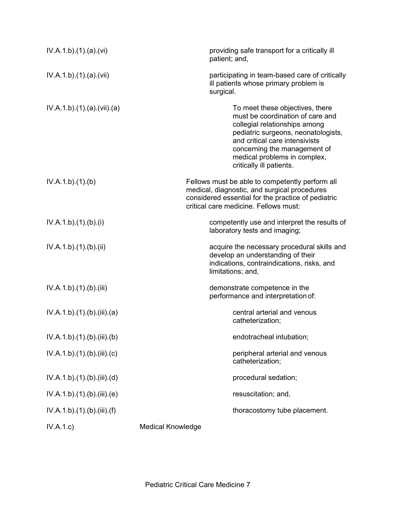| IV.A.1.b)(1)(a)(vi)         | providing safe transport for a critically ill<br>patient; and,                                                                                                                                                                                                            |
|-----------------------------|---------------------------------------------------------------------------------------------------------------------------------------------------------------------------------------------------------------------------------------------------------------------------|
| IV.A.1.b)(1)(a)(vii)        | participating in team-based care of critically<br>ill patients whose primary problem is<br>surgical.                                                                                                                                                                      |
| IV.A.1.b)(1)(a)(vii)(a)     | To meet these objectives, there<br>must be coordination of care and<br>collegial relationships among<br>pediatric surgeons, neonatologists,<br>and critical care intensivists<br>concerning the management of<br>medical problems in complex,<br>critically ill patients. |
| IV.A.1.b)(1)(b)             | Fellows must be able to competently perform all<br>medical, diagnostic, and surgical procedures<br>considered essential for the practice of pediatric<br>critical care medicine. Fellows must:                                                                            |
| IV.A.1.b)(1)(b)(i)          | competently use and interpret the results of<br>laboratory tests and imaging;                                                                                                                                                                                             |
| IV.A.1.b)(1)(b)(ii)         | acquire the necessary procedural skills and<br>develop an understanding of their<br>indications, contraindications, risks, and<br>limitations; and,                                                                                                                       |
| IV.A.1.b)(1)(b)(iii)        | demonstrate competence in the<br>performance and interpretation of:                                                                                                                                                                                                       |
| IV.A.1.b)(1)(b)(iii)(a)     | central arterial and venous<br>catheterization;                                                                                                                                                                                                                           |
| IV.A.1.b).(1).(b).(iii).(b) | endotracheal intubation;                                                                                                                                                                                                                                                  |
| IV.A.1.b)(1)(b)(iii)(c)     | peripheral arterial and venous<br>catheterization;                                                                                                                                                                                                                        |
| IV.A.1.b)(1)(b)(iii)(d)     | procedural sedation;                                                                                                                                                                                                                                                      |
| IV.A.1.b)(1)(b)(iii)(e)     | resuscitation; and,                                                                                                                                                                                                                                                       |
| IV.A.1.b)(1)(b)(iii)(f)     | thoracostomy tube placement.                                                                                                                                                                                                                                              |
| IV.A.1.c)                   | <b>Medical Knowledge</b>                                                                                                                                                                                                                                                  |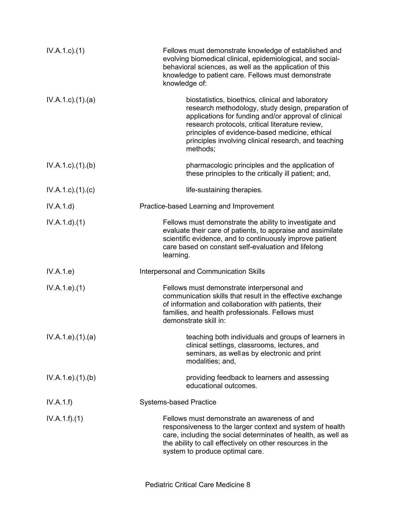| $IV.A.1.c$ ). $(1)$       | Fellows must demonstrate knowledge of established and<br>evolving biomedical clinical, epidemiological, and social-<br>behavioral sciences, as well as the application of this<br>knowledge to patient care. Fellows must demonstrate<br>knowledge of:                                                                                   |
|---------------------------|------------------------------------------------------------------------------------------------------------------------------------------------------------------------------------------------------------------------------------------------------------------------------------------------------------------------------------------|
| $IV.A.1.c$ . $(1).$ $(a)$ | biostatistics, bioethics, clinical and laboratory<br>research methodology, study design, preparation of<br>applications for funding and/or approval of clinical<br>research protocols, critical literature review,<br>principles of evidence-based medicine, ethical<br>principles involving clinical research, and teaching<br>methods; |
| $IV.A.1.c$ . $(1).$ (b)   | pharmacologic principles and the application of<br>these principles to the critically ill patient; and,                                                                                                                                                                                                                                  |
| $IV.A.1.c$ ). $(1).c)$    | life-sustaining therapies.                                                                                                                                                                                                                                                                                                               |
| IV.A.1.d)                 | Practice-based Learning and Improvement                                                                                                                                                                                                                                                                                                  |
| IV.A.1.d.(1)              | Fellows must demonstrate the ability to investigate and<br>evaluate their care of patients, to appraise and assimilate<br>scientific evidence, and to continuously improve patient<br>care based on constant self-evaluation and lifelong<br>learning.                                                                                   |
| IV.A.1.e)                 | Interpersonal and Communication Skills                                                                                                                                                                                                                                                                                                   |
| IV.A.1.e. (1)             | Fellows must demonstrate interpersonal and<br>communication skills that result in the effective exchange<br>of information and collaboration with patients, their<br>families, and health professionals. Fellows must<br>demonstrate skill in:                                                                                           |
| IV.A.1.e. (1).(a)         | teaching both individuals and groups of learners in<br>clinical settings, classrooms, lectures, and<br>seminars, as well as by electronic and print<br>modalities; and,                                                                                                                                                                  |
| IV.A.1.e. (1)(b)          | providing feedback to learners and assessing<br>educational outcomes.                                                                                                                                                                                                                                                                    |
| IV.A.1.f)                 | <b>Systems-based Practice</b>                                                                                                                                                                                                                                                                                                            |
| IV.A.1.f)(1)              | Fellows must demonstrate an awareness of and<br>responsiveness to the larger context and system of health<br>care, including the social determinates of health, as well as<br>the ability to call effectively on other resources in the<br>system to produce optimal care.                                                               |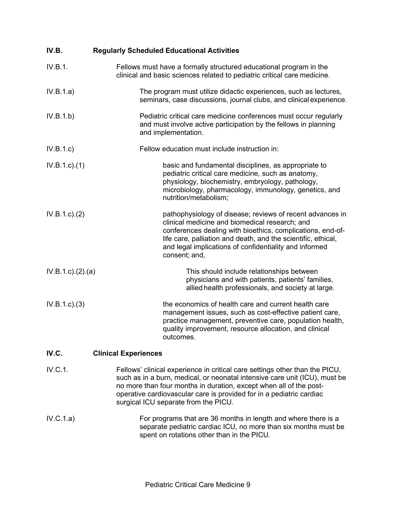| IV.B.             | <b>Regularly Scheduled Educational Activities</b>                                                                                                                                                                                                                                                                                               |
|-------------------|-------------------------------------------------------------------------------------------------------------------------------------------------------------------------------------------------------------------------------------------------------------------------------------------------------------------------------------------------|
| IV.B.1.           | Fellows must have a formally structured educational program in the<br>clinical and basic sciences related to pediatric critical care medicine.                                                                                                                                                                                                  |
| IV.B.1.a)         | The program must utilize didactic experiences, such as lectures,<br>seminars, case discussions, journal clubs, and clinical experience.                                                                                                                                                                                                         |
| IV.B.1.b)         | Pediatric critical care medicine conferences must occur regularly<br>and must involve active participation by the fellows in planning<br>and implementation.                                                                                                                                                                                    |
| IV.B.1.c)         | Fellow education must include instruction in:                                                                                                                                                                                                                                                                                                   |
| $IV.B.1.c.$ (1)   | basic and fundamental disciplines, as appropriate to<br>pediatric critical care medicine, such as anatomy,<br>physiology, biochemistry, embryology, pathology,<br>microbiology, pharmacology, immunology, genetics, and<br>nutrition/metabolism;                                                                                                |
| IV.B.1.c.2)       | pathophysiology of disease; reviews of recent advances in<br>clinical medicine and biomedical research; and<br>conferences dealing with bioethics, complications, end-of-<br>life care, palliation and death, and the scientific, ethical,<br>and legal implications of confidentiality and informed<br>consent; and,                           |
| IV.B.1.c.)(2).(a) | This should include relationships between<br>physicians and with patients, patients' families,<br>allied health professionals, and society at large.                                                                                                                                                                                            |
| IV.B.1.c.3)       | the economics of health care and current health care<br>management issues, such as cost-effective patient care,<br>practice management, preventive care, population health,<br>quality improvement, resource allocation, and clinical<br>outcomes.                                                                                              |
| IV.C.             | <b>Clinical Experiences</b>                                                                                                                                                                                                                                                                                                                     |
| IV.C.1.           | Fellows' clinical experience in critical care settings other than the PICU,<br>such as in a burn, medical, or neonatal intensive care unit (ICU), must be<br>no more than four months in duration, except when all of the post-<br>operative cardiovascular care is provided for in a pediatric cardiac<br>surgical ICU separate from the PICU. |

IV.C.1.a) For programs that are 36 months in length and where there is a separate pediatric cardiac ICU, no more than six months must be spent on rotations other than in the PICU.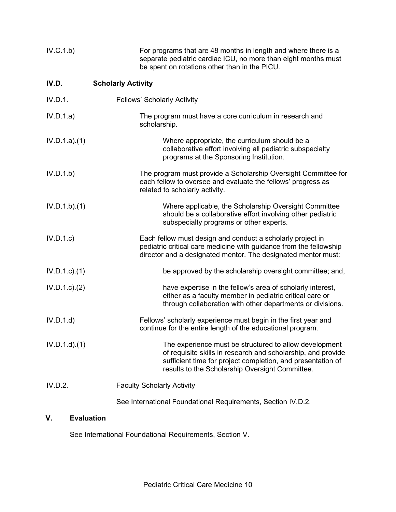| IV.C.1.b)        | For programs that are 48 months in length and where there is a<br>separate pediatric cardiac ICU, no more than eight months must<br>be spent on rotations other than in the PICU.                                                        |
|------------------|------------------------------------------------------------------------------------------------------------------------------------------------------------------------------------------------------------------------------------------|
| IV.D.            | <b>Scholarly Activity</b>                                                                                                                                                                                                                |
| IV.D.1.          | <b>Fellows' Scholarly Activity</b>                                                                                                                                                                                                       |
| IV.D.1.a)        | The program must have a core curriculum in research and<br>scholarship.                                                                                                                                                                  |
| IV.D.1.a)(1)     | Where appropriate, the curriculum should be a<br>collaborative effort involving all pediatric subspecialty<br>programs at the Sponsoring Institution.                                                                                    |
| IV.D.1.b)        | The program must provide a Scholarship Oversight Committee for<br>each fellow to oversee and evaluate the fellows' progress as<br>related to scholarly activity.                                                                         |
| IV.D.1.b)(1)     | Where applicable, the Scholarship Oversight Committee<br>should be a collaborative effort involving other pediatric<br>subspecialty programs or other experts.                                                                           |
| IV.D.1.c         | Each fellow must design and conduct a scholarly project in<br>pediatric critical care medicine with guidance from the fellowship<br>director and a designated mentor. The designated mentor must:                                        |
| $IV.D.1.c$ $(1)$ | be approved by the scholarship oversight committee; and,                                                                                                                                                                                 |
| $IV.D.1.c$ $(2)$ | have expertise in the fellow's area of scholarly interest,<br>either as a faculty member in pediatric critical care or<br>through collaboration with other departments or divisions.                                                     |
| IV.D.1.d         | Fellows' scholarly experience must begin in the first year and<br>continue for the entire length of the educational program.                                                                                                             |
| $IV.D.1.d$ $(1)$ | The experience must be structured to allow development<br>of requisite skills in research and scholarship, and provide<br>sufficient time for project completion, and presentation of<br>results to the Scholarship Oversight Committee. |
| IV.D.2.          | <b>Faculty Scholarly Activity</b>                                                                                                                                                                                                        |
|                  | See International Foundational Requirements, Section IV.D.2.                                                                                                                                                                             |

# **V. Evaluation**

See International Foundational Requirements, Section V.